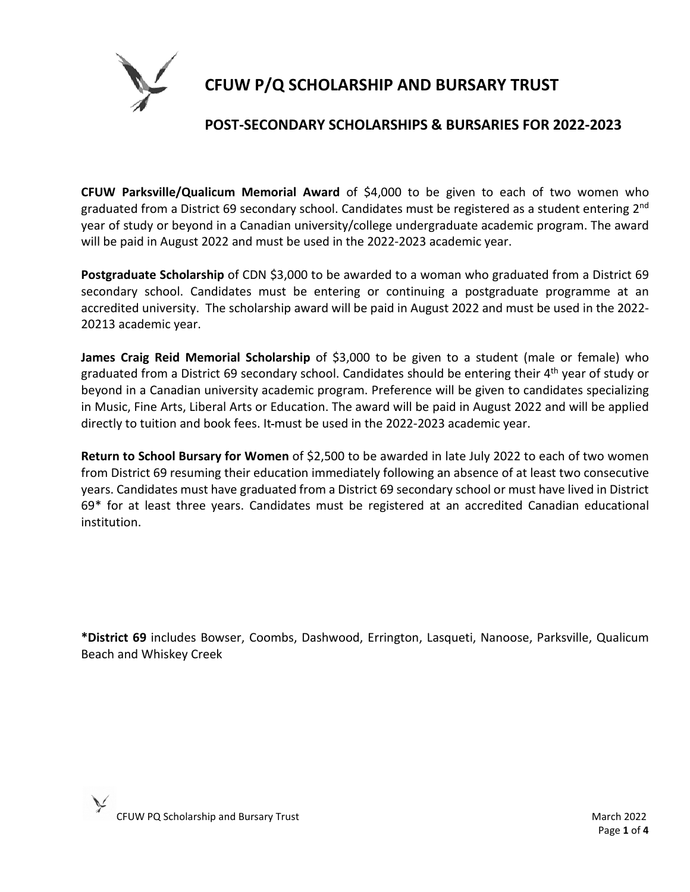

# **CFUW P/Q SCHOLARSHIP AND BURSARY TRUST**

#### **POST-SECONDARY SCHOLARSHIPS & BURSARIES FOR 2022-2023**

**CFUW Parksville/Qualicum Memorial Award** of \$4,000 to be given to each of two women who graduated from a District 69 secondary school. Candidates must be registered as a student entering 2<sup>nd</sup> year of study or beyond in a Canadian university/college undergraduate academic program. The award will be paid in August 2022 and must be used in the 2022-2023 academic year.

**Postgraduate Scholarship** of CDN \$3,000 to be awarded to a woman who graduated from a District 69 secondary school. Candidates must be entering or continuing a postgraduate programme at an accredited university. The scholarship award will be paid in August 2022 and must be used in the 2022- 20213 academic year.

**James Craig Reid Memorial Scholarship** of \$3,000 to be given to a student (male or female) who graduated from a District 69 secondary school. Candidates should be entering their 4<sup>th</sup> year of study or beyond in a Canadian university academic program. Preference will be given to candidates specializing in Music, Fine Arts, Liberal Arts or Education. The award will be paid in August 2022 and will be applied directly to tuition and book fees. It must be used in the 2022-2023 academic year.

**Return to School Bursary for Women** of \$2,500 to be awarded in late July 2022 to each of two women from District 69 resuming their education immediately following an absence of at least two consecutive years. Candidates must have graduated from a District 69 secondary school or must have lived in District 69\* for at least three years. Candidates must be registered at an accredited Canadian educational institution.

**\*District 69** includes Bowser, Coombs, Dashwood, Errington, Lasqueti, Nanoose, Parksville, Qualicum Beach and Whiskey Creek

CFUW PQ Scholarship and Bursary Trust March 2022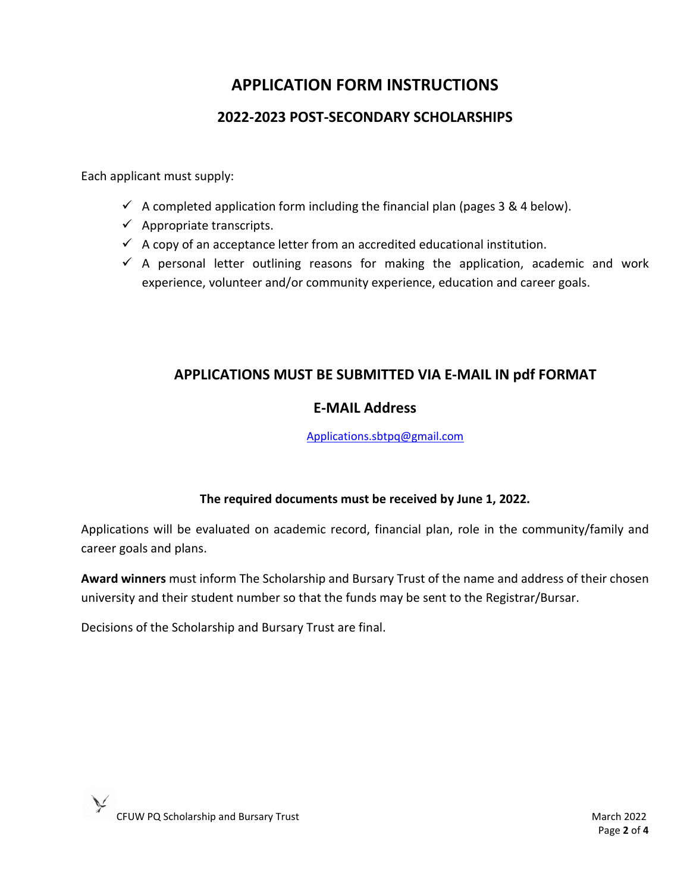## **APPLICATION FORM INSTRUCTIONS**

### **2022-2023 POST-SECONDARY SCHOLARSHIPS**

Each applicant must supply:

- $\checkmark$  A completed application form including the financial plan (pages 3 & 4 below).
- $\checkmark$  Appropriate transcripts.
- $\checkmark$  A copy of an acceptance letter from an accredited educational institution.
- $\checkmark$  A personal letter outlining reasons for making the application, academic and work experience, volunteer and/or community experience, education and career goals.

#### **APPLICATIONS MUST BE SUBMITTED VIA E-MAIL IN pdf FORMAT**

#### **E-MAIL Address**

[Applications.sbtpq@gmail.com](mailto:Applications.sbtpq@gmail.com)

#### **The required documents must be received by June 1, 2022.**

Applications will be evaluated on academic record, financial plan, role in the community/family and career goals and plans.

**Award winners** must inform The Scholarship and Bursary Trust of the name and address of their chosen university and their student number so that the funds may be sent to the Registrar/Bursar.

Decisions of the Scholarship and Bursary Trust are final.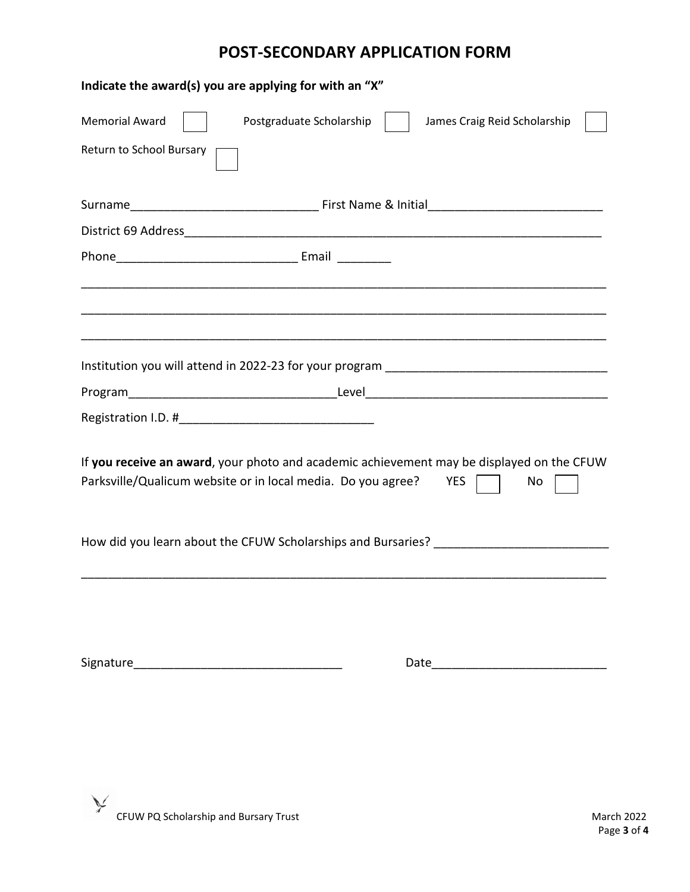## **POST-SECONDARY APPLICATION FORM**

| Indicate the award(s) you are applying for with an "X"                                                                                                              |  |  |  |
|---------------------------------------------------------------------------------------------------------------------------------------------------------------------|--|--|--|
| <b>Memorial Award</b><br>Postgraduate Scholarship<br>James Craig Reid Scholarship                                                                                   |  |  |  |
| Return to School Bursary                                                                                                                                            |  |  |  |
|                                                                                                                                                                     |  |  |  |
|                                                                                                                                                                     |  |  |  |
|                                                                                                                                                                     |  |  |  |
|                                                                                                                                                                     |  |  |  |
|                                                                                                                                                                     |  |  |  |
|                                                                                                                                                                     |  |  |  |
|                                                                                                                                                                     |  |  |  |
| If you receive an award, your photo and academic achievement may be displayed on the CFUW<br>Parksville/Qualicum website or in local media. Do you agree? YES<br>No |  |  |  |
| How did you learn about the CFUW Scholarships and Bursaries? ____________________                                                                                   |  |  |  |
|                                                                                                                                                                     |  |  |  |
|                                                                                                                                                                     |  |  |  |